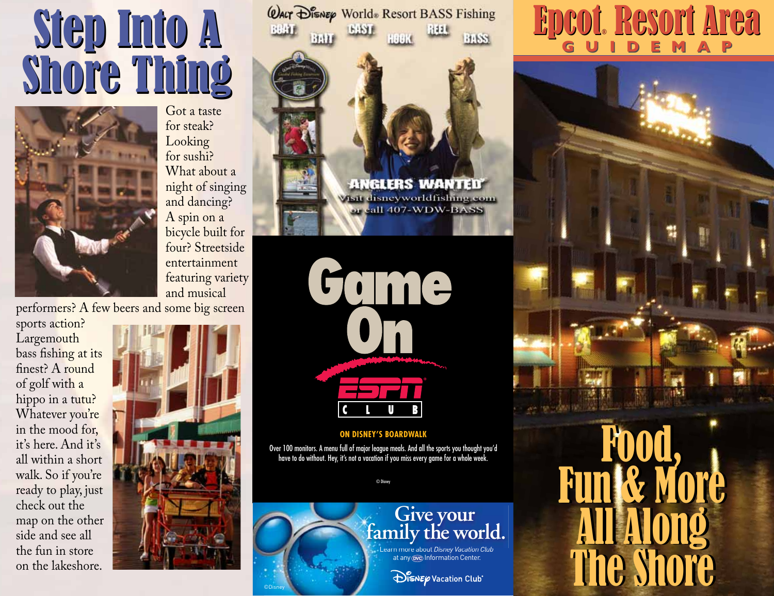# Step Into A Step Into A Shore Thing Shore Thing



Got a taste for steak? Looking for sushi? What about a night of singing and dancing? A spin on a bicycle built for four? Streetside entertainment featuring variety and musical

performers? A few beers and some big screen

sports action? Largemouth bass fishing at its finest? A round of golf with a hippo in a tutu? Whatever you're in the mood for, it's here. And it's all within a short walk. So if you're ready to play, just check out the map on the other side and see all the fun in store on the lakeshore.



©Disney



Come

### **ON DISNEY'S BOARDWALK**

Over 100 monitors. A menu full of major league meals. And all the sports you thought you'd have to do without. Hey, it's not a vacation if you miss every game for a whole week.

© Disney

## **Give your family the world.**

Learn more about *Disney Vacation Club* at any **OVC** Information Center.

### Epcot® Resort Area Epcot Resort Area **G U I D E M A P G U I D E M A P**